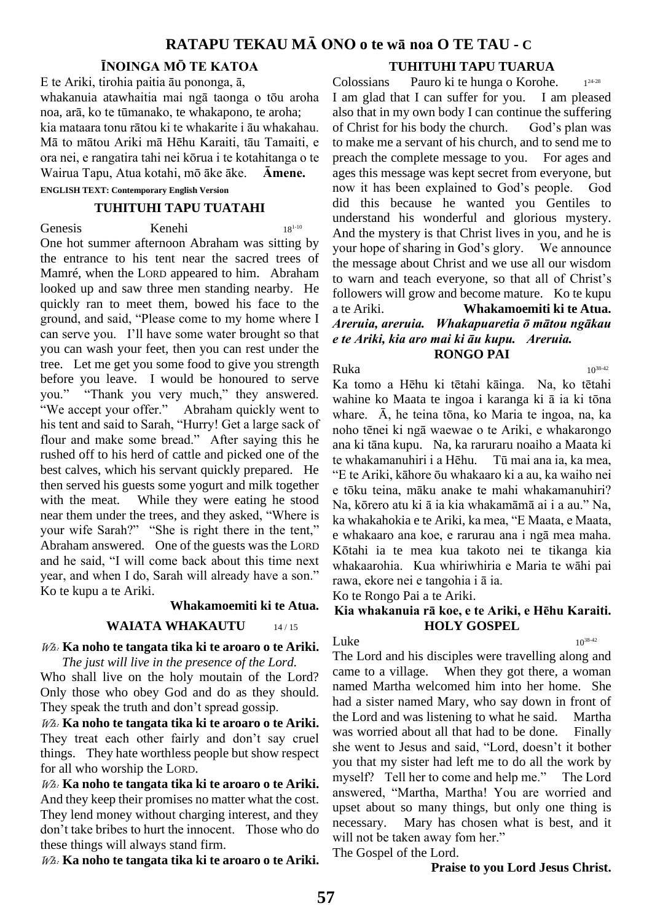# **RATAPU TEKAU MĀ ONO o te wā noa O TE TAU - C**

### **ĪNOINGA MŌ TE KATOA**

E te Ariki, tirohia paitia āu pononga, ā, whakanuia atawhaitia mai ngā taonga o tōu aroha noa, arā, ko te tūmanako, te whakapono, te aroha; kia mataara tonu rātou ki te whakarite i āu whakahau. Mā to mātou Ariki mā Hēhu Karaiti, tāu Tamaiti, e ora nei, e rangatira tahi nei kōrua i te kotahitanga o te Wairua Tapu, Atua kotahi, mō āke āke. **Āmene.**

**ENGLISH TEXT: Contemporary English Version**

#### **TUHITUHI TAPU TUATAHI**

Genesis Kenehi 18<sup>1-10</sup>

One hot summer afternoon Abraham was sitting by the entrance to his tent near the sacred trees of Mamré, when the LORD appeared to him. Abraham looked up and saw three men standing nearby. He quickly ran to meet them, bowed his face to the ground, and said, "Please come to my home where I can serve you. I'll have some water brought so that you can wash your feet, then you can rest under the tree. Let me get you some food to give you strength before you leave. I would be honoured to serve you." "Thank you very much," they answered. "We accept your offer." Abraham quickly went to his tent and said to Sarah, "Hurry! Get a large sack of flour and make some bread." After saying this he rushed off to his herd of cattle and picked one of the best calves, which his servant quickly prepared. He then served his guests some yogurt and milk together with the meat. While they were eating he stood near them under the trees, and they asked, "Where is your wife Sarah?" "She is right there in the tent," Abraham answered. One of the guests was the LORD and he said, "I will come back about this time next year, and when I do, Sarah will already have a son." Ko te kupu a te Ariki.

#### **Whakamoemiti ki te Atua.**

#### **WAIATA WHAKAUTU** 14/15

## Wh: **Ka noho te tangata tika ki te aroaro o te Ariki.**

*The just will live in the presence of the Lord.*

Who shall live on the holy moutain of the Lord? Only those who obey God and do as they should. They speak the truth and don't spread gossip.

Wh: **Ka noho te tangata tika ki te aroaro o te Ariki.** They treat each other fairly and don't say cruel things. They hate worthless people but show respect for all who worship the LORD.

Wh: **Ka noho te tangata tika ki te aroaro o te Ariki.** And they keep their promises no matter what the cost. They lend money without charging interest, and they don't take bribes to hurt the innocent. Those who do these things will always stand firm.

Wh: **Ka noho te tangata tika ki te aroaro o te Ariki.**

# **TUHITUHI TAPU TUARUA**

Colossians Pauro ki te hunga o Korohe. 24-28 I am glad that I can suffer for you. I am pleased also that in my own body I can continue the suffering of Christ for his body the church. God's plan was to make me a servant of his church, and to send me to preach the complete message to you. For ages and ages this message was kept secret from everyone, but now it has been explained to God's people. God did this because he wanted you Gentiles to understand his wonderful and glorious mystery. And the mystery is that Christ lives in you, and he is your hope of sharing in God's glory. We announce the message about Christ and we use all our wisdom to warn and teach everyone, so that all of Christ's followers will grow and become mature. Ko te kupu a te Ariki. **Whakamoemiti ki te Atua.** *Areruia, areruia. Whakapuaretia ō mātou ngākau e te Ariki, kia aro mai ki āu kupu. Areruia.* **RONGO PAI**

 $Ruka$  10<sup>38.42</sup> Ka tomo a Hēhu ki tētahi kāinga. Na, ko tētahi wahine ko Maata te ingoa i karanga ki ā ia ki tōna whare. Ā, he teina tōna, ko Maria te ingoa, na, ka noho tēnei ki ngā waewae o te Ariki, e whakarongo ana ki tāna kupu. Na, ka raruraru noaiho a Maata ki te whakamanuhiri i a Hēhu. Tū mai ana ia, ka mea, "E te Ariki, kāhore ōu whakaaro ki a au, ka waiho nei e tōku teina, māku anake te mahi whakamanuhiri? Na, kōrero atu ki ā ia kia whakamāmā ai i a au." Na, ka whakahokia e te Ariki, ka mea, "E Maata, e Maata, e whakaaro ana koe, e rarurau ana i ngā mea maha. Kōtahi ia te mea kua takoto nei te tikanga kia whakaarohia. Kua whiriwhiria e Maria te wāhi pai rawa, ekore nei e tangohia i ā ia.

Ko te Rongo Pai a te Ariki.

### **Kia whakanuia rā koe, e te Ariki, e Hēhu Karaiti. HOLY GOSPEL**

#### Luke  $10^{38-42}$

The Lord and his disciples were travelling along and came to a village. When they got there, a woman named Martha welcomed him into her home. She had a sister named Mary, who say down in front of the Lord and was listening to what he said. Martha was worried about all that had to be done. Finally she went to Jesus and said, "Lord, doesn't it bother you that my sister had left me to do all the work by myself? Tell her to come and help me." The Lord answered, "Martha, Martha! You are worried and upset about so many things, but only one thing is necessary. Mary has chosen what is best, and it will not be taken away fom her."

The Gospel of the Lord.

#### **Praise to you Lord Jesus Christ.**